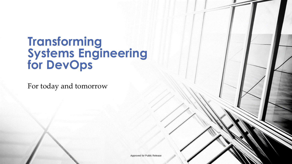### **Transforming Systems Engineering for DevOps**

For today and tomorrow

Approved for Public Release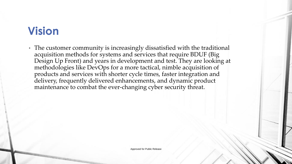# **Vision**

• The customer community is increasingly dissatisfied with the traditional acquisition methods for systems and services that require BDUF (Big Design Up Front) and years in development and test. They are looking at methodologies like DevOps for a more tactical, nimble acquisition of products and services with shorter cycle times, faster integration and delivery, frequently delivered enhancements, and dynamic product maintenance to combat the ever-changing cyber security threat.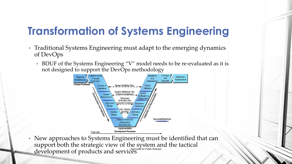# **Transformation of Systems Engineering**

- Traditional Systems Engineering must adapt to the emerging dynamics of DevOps
	- BDUF of the Systems Engineering "V" model needs to be re-evaluated as it is not designed to support the DevOps methodology



• New approaches to Systems Engineering must be identified that can support both the strategic view of the system and the tactical development of products and services Approved for Public Release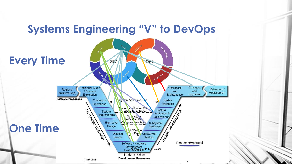#### **Systems Engineering "V" to DevOps**

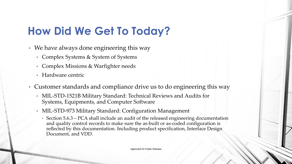# **How Did We Get To Today?**

- We have always done engineering this way
	- Complex Systems & System of Systems
	- Complex Missions & Warfighter needs
	- Hardware centric
- Customer standards and compliance drive us to do engineering this way
	- MIL-STD-1521B Military Standard: Technical Reviews and Audits for Systems, Equipments, and Computer Software
	- MIL-STD-973 Military Standard: Configuration Management
		- Section 5.6.3 PCA shall include an audit of the released engineering documentation and quality control records to make sure the as-built or as-coded configuration is reflected by this documentation. Including product specification, Interface Design Document, and VDD.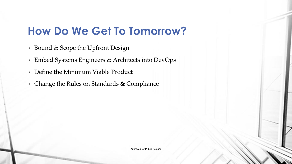# **How Do We Get To Tomorrow?**

- Bound & Scope the Upfront Design
- Embed Systems Engineers & Architects into DevOps
- Define the Minimum Viable Product
- Change the Rules on Standards & Compliance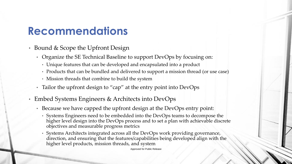#### **Recommendations**

- Bound & Scope the Upfront Design
	- Organize the SE Technical Baseline to support DevOps by focusing on:
		- Unique features that can be developed and encapsulated into a product
		- Products that can be bundled and delivered to support a mission thread (or use case)
		- Mission threads that combine to build the system
	- Tailor the upfront design to "cap" at the entry point into DevOps
- Embed Systems Engineers & Architects into DevOps
	- Because we have capped the upfront design at the DevOps entry point:
		- Systems Engineers need to be embedded into the DevOps teams to decompose the higher level design into the DevOps process and to set a plan with achievable discrete objectives and measurable progress metrics
		- Systems Architects integrated across all the DevOps work providing governance, direction, and ensuring that the features/capabilities being developed align with the higher level products, mission threads, and system

Approved for Public Release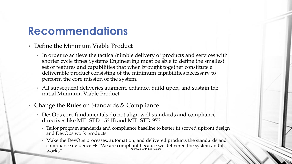#### **Recommendations**

- Define the Minimum Viable Product
	- In order to achieve the tactical/nimble delivery of products and services with shorter cycle times Systems Engineering must be able to define the smallest set of features and capabilities that when brought together constitute a deliverable product consisting of the minimum capabilities necessary to perform the core mission of the system.
	- All subsequent deliveries augment, enhance, build upon, and sustain the initial Minimum Viable Product
- Change the Rules on Standards & Compliance
	- DevOps core fundamentals do not align well standards and compliance directives like MIL-STD-1521B and MIL-STD-973
		- Tailor program standards and compliance baseline to better fit scoped upfront design and DevOps work products
		- Make the DevOps processes, automation, and delivered products the standards and compliance evidence  $\rightarrow$  "We are compliant because we delivered the system and it  ${\rm works}''$  Approved for Public Release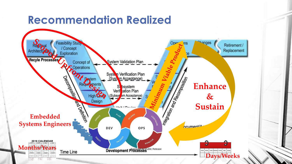### **Recommendation Realized**